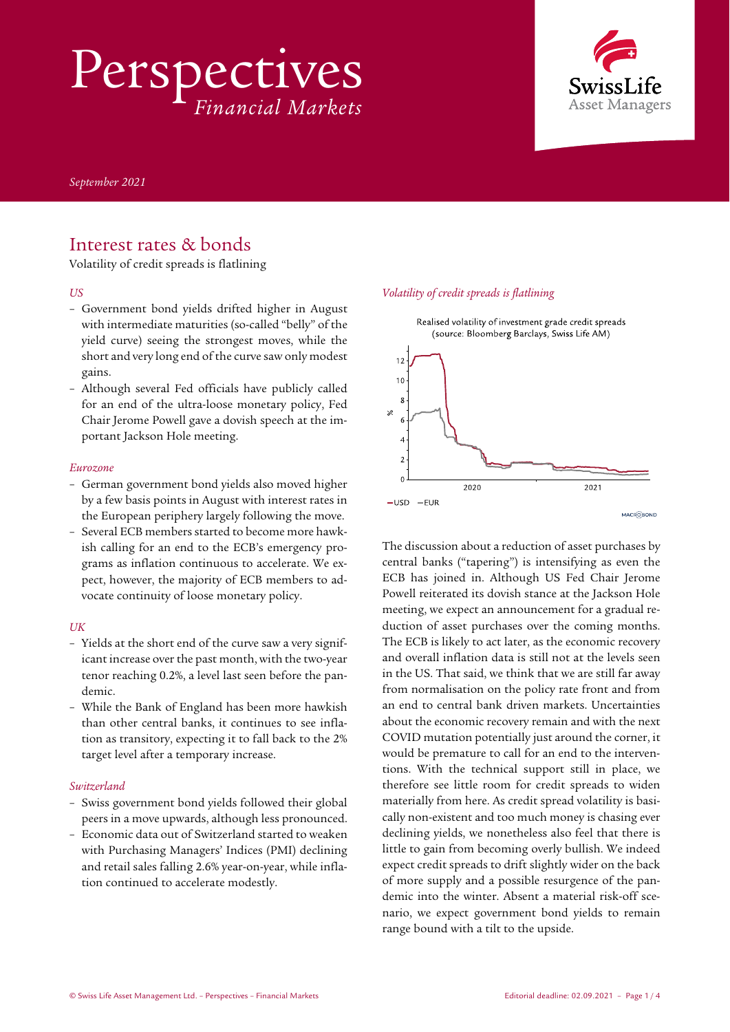Perspectives *Financial Markets*



*September 2021*

## Interest rates & bonds

Volatility of credit spreads is flatlining

### *US*

- Government bond yields drifted higher in August with intermediate maturities (so-called "belly" of the yield curve) seeing the strongest moves, while the short and very long end of the curve saw only modest gains.
- Although several Fed officials have publicly called for an end of the ultra-loose monetary policy, Fed Chair Jerome Powell gave a dovish speech at the important Jackson Hole meeting.

#### *Eurozone*

- German government bond yields also moved higher by a few basis points in August with interest rates in the European periphery largely following the move.
- Several ECB members started to become more hawkish calling for an end to the ECB's emergency programs as inflation continuous to accelerate. We expect, however, the majority of ECB members to advocate continuity of loose monetary policy.

### *UK*

- Yields at the short end of the curve saw a very significant increase over the past month, with the two-year tenor reaching 0.2%, a level last seen before the pandemic.
- While the Bank of England has been more hawkish than other central banks, it continues to see inflation as transitory, expecting it to fall back to the 2% target level after a temporary increase.

### *Switzerland*

- Swiss government bond yields followed their global peers in a move upwards, although less pronounced.
- Economic data out of Switzerland started to weaken with Purchasing Managers' Indices (PMI) declining and retail sales falling 2.6% year-on-year, while inflation continued to accelerate modestly.

### *Volatility of credit spreads is flatlining*



Realised volatility of investment grade credit spreads

The discussion about a reduction of asset purchases by central banks ("tapering") is intensifying as even the ECB has joined in. Although US Fed Chair Jerome Powell reiterated its dovish stance at the Jackson Hole meeting, we expect an announcement for a gradual reduction of asset purchases over the coming months. The ECB is likely to act later, as the economic recovery and overall inflation data is still not at the levels seen in the US. That said, we think that we are still far away from normalisation on the policy rate front and from an end to central bank driven markets. Uncertainties about the economic recovery remain and with the next COVID mutation potentially just around the corner, it would be premature to call for an end to the interventions. With the technical support still in place, we therefore see little room for credit spreads to widen materially from here. As credit spread volatility is basically non-existent and too much money is chasing ever declining yields, we nonetheless also feel that there is little to gain from becoming overly bullish. We indeed expect credit spreads to drift slightly wider on the back of more supply and a possible resurgence of the pandemic into the winter. Absent a material risk-off scenario, we expect government bond yields to remain range bound with a tilt to the upside.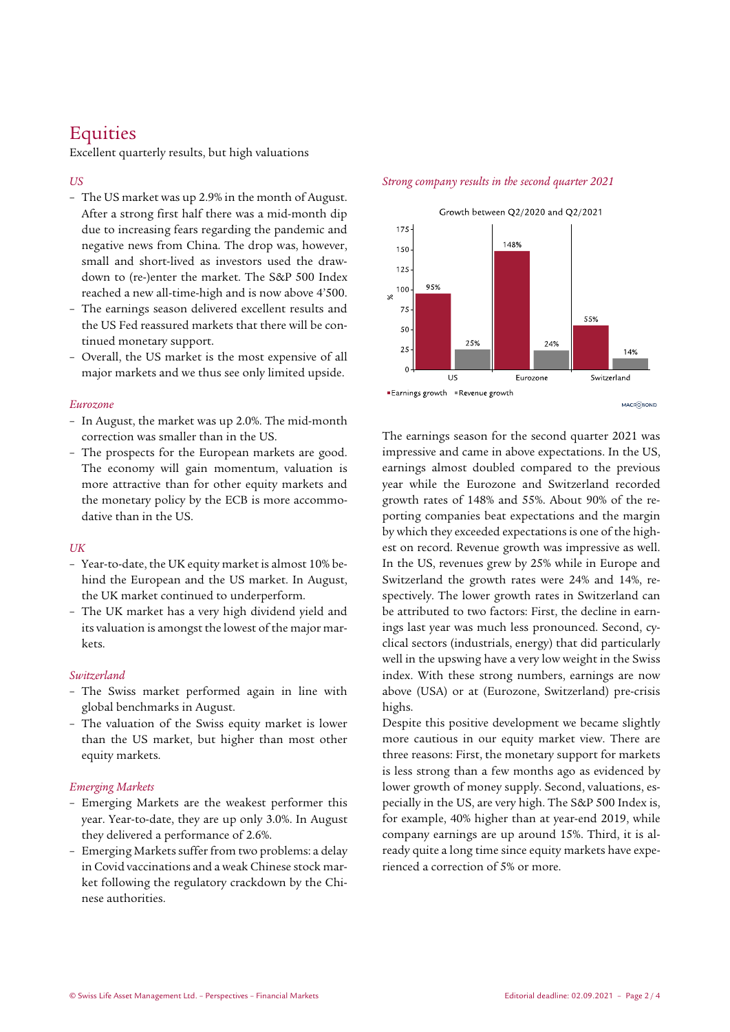# **Equities**

Excellent quarterly results, but high valuations

### *US*

- The US market was up 2.9% in the month of August. After a strong first half there was a mid-month dip due to increasing fears regarding the pandemic and negative news from China. The drop was, however, small and short-lived as investors used the drawdown to (re-)enter the market. The S&P 500 Index reached a new all-time-high and is now above 4'500.
- The earnings season delivered excellent results and the US Fed reassured markets that there will be continued monetary support.
- Overall, the US market is the most expensive of all major markets and we thus see only limited upside.

### *Eurozone*

- In August, the market was up 2.0%. The mid-month correction was smaller than in the US.
- The prospects for the European markets are good. The economy will gain momentum, valuation is more attractive than for other equity markets and the monetary policy by the ECB is more accommodative than in the US.

### *UK*

- Year-to-date, the UK equity market is almost 10% behind the European and the US market. In August, the UK market continued to underperform.
- The UK market has a very high dividend yield and its valuation is amongst the lowest of the major markets.

### *Switzerland*

- The Swiss market performed again in line with global benchmarks in August.
- The valuation of the Swiss equity market is lower than the US market, but higher than most other equity markets.

### *Emerging Markets*

- Emerging Markets are the weakest performer this year. Year-to-date, they are up only 3.0%. In August they delivered a performance of 2.6%.
- Emerging Markets suffer from two problems: a delay in Covid vaccinations and a weak Chinese stock market following the regulatory crackdown by the Chinese authorities.

# *Strong company results in the second quarter 2021* Growth between Q2/2020 and Q2/2021



MACROBOND

The earnings season for the second quarter 2021 was impressive and came in above expectations. In the US, earnings almost doubled compared to the previous year while the Eurozone and Switzerland recorded growth rates of 148% and 55%. About 90% of the reporting companies beat expectations and the margin by which they exceeded expectations is one of the highest on record. Revenue growth was impressive as well. In the US, revenues grew by 25% while in Europe and Switzerland the growth rates were 24% and 14%, respectively. The lower growth rates in Switzerland can be attributed to two factors: First, the decline in earnings last year was much less pronounced. Second, cyclical sectors (industrials, energy) that did particularly well in the upswing have a very low weight in the Swiss index. With these strong numbers, earnings are now above (USA) or at (Eurozone, Switzerland) pre-crisis highs.

Despite this positive development we became slightly more cautious in our equity market view. There are three reasons: First, the monetary support for markets is less strong than a few months ago as evidenced by lower growth of money supply. Second, valuations, especially in the US, are very high. The S&P 500 Index is, for example, 40% higher than at year-end 2019, while company earnings are up around 15%. Third, it is already quite a long time since equity markets have experienced a correction of 5% or more.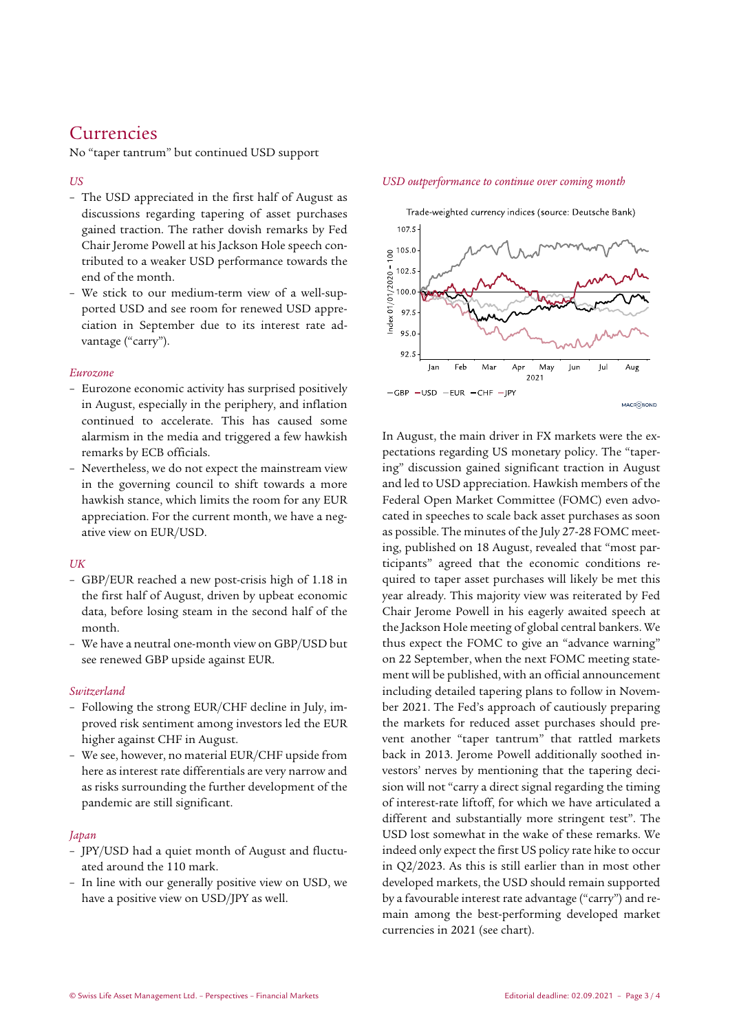## Currencies

No "taper tantrum" but continued USD support

### *US*

- The USD appreciated in the first half of August as discussions regarding tapering of asset purchases gained traction. The rather dovish remarks by Fed Chair Jerome Powell at his Jackson Hole speech contributed to a weaker USD performance towards the end of the month.
- We stick to our medium-term view of a well-supported USD and see room for renewed USD appreciation in September due to its interest rate advantage ("carry").

### *Eurozone*

- Eurozone economic activity has surprised positively in August, especially in the periphery, and inflation continued to accelerate. This has caused some alarmism in the media and triggered a few hawkish remarks by ECB officials.
- Nevertheless, we do not expect the mainstream view in the governing council to shift towards a more hawkish stance, which limits the room for any EUR appreciation. For the current month, we have a negative view on EUR/USD.

### *UK*

- GBP/EUR reached a new post-crisis high of 1.18 in the first half of August, driven by upbeat economic data, before losing steam in the second half of the month.
- We have a neutral one-month view on GBP/USD but see renewed GBP upside against EUR.

### *Switzerland*

- Following the strong EUR/CHF decline in July, improved risk sentiment among investors led the EUR higher against CHF in August.
- We see, however, no material EUR/CHF upside from here as interest rate differentials are very narrow and as risks surrounding the further development of the pandemic are still significant.

### *Japan*

- JPY/USD had a quiet month of August and fluctuated around the 110 mark.
- In line with our generally positive view on USD, we have a positive view on USD/JPY as well.

### *USD outperformance to continue over coming month*



In August, the main driver in FX markets were the expectations regarding US monetary policy. The "tapering" discussion gained significant traction in August and led to USD appreciation. Hawkish members of the Federal Open Market Committee (FOMC) even advocated in speeches to scale back asset purchases as soon as possible. The minutes of the July 27-28 FOMC meeting, published on 18 August, revealed that "most participants" agreed that the economic conditions required to taper asset purchases will likely be met this year already. This majority view was reiterated by Fed Chair Jerome Powell in his eagerly awaited speech at the Jackson Hole meeting of global central bankers. We thus expect the FOMC to give an "advance warning" on 22 September, when the next FOMC meeting statement will be published, with an official announcement including detailed tapering plans to follow in November 2021. The Fed's approach of cautiously preparing the markets for reduced asset purchases should prevent another "taper tantrum" that rattled markets back in 2013. Jerome Powell additionally soothed investors' nerves by mentioning that the tapering decision will not "carry a direct signal regarding the timing of interest-rate liftoff, for which we have articulated a different and substantially more stringent test". The USD lost somewhat in the wake of these remarks. We indeed only expect the first US policy rate hike to occur in Q2/2023. As this is still earlier than in most other developed markets, the USD should remain supported by a favourable interest rate advantage ("carry") and remain among the best-performing developed market currencies in 2021 (see chart).